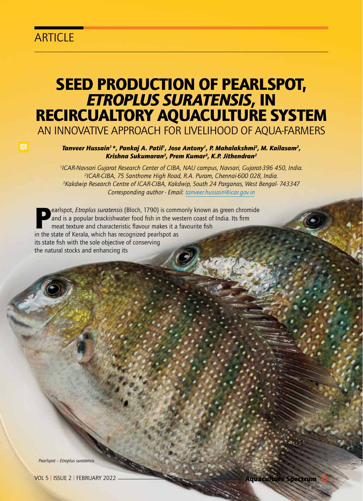## **ARTICLE**

# SEED PRODUCTION OF PEARLSPOT, *ETROPLUS SURATENSIS,* IN RECIRCUALTORY AQUACULTURE SYSTEM

AN INNOVATIVE APPROACH FOR LIVELIHOOD OF AQUA-FARMERS

*Tanveer Hussain1\*, Pankaj A. Patil1, Jose Antony1, P. Mahalakshmi2, M. Kailasam2, Krishna Sukumaran2, Prem Kumar3, K.P. Jithendran2*

 *ICAR-Navsari Gujarat Research Center of CIBA, NAU campus, Navsari, Gujarat-396 450, India. ICAR-CIBA, 75 Santhome High Road, R.A. Puram, Chennai-600 028, India. Kakdwip Research Centre of ICAR-CIBA, Kakdwip, South 24 Parganas, West Bengal- 743347 Corresponding author - Email: tanveer.hussain@icar.gov.in*

earlspot, *Etroplus suratensis* (Bloch, 1790) is commonly known as green chromide and is a popular brackishwater food fish in the western coast of India. Its firm meat texture and characteristic flavour makes it a favourite fish in the state of Kerala, which has recognized pearlspot as its state fish with the sole objective of conserving the natural stocks and enhancing its

*Pearlspot – Etroplus suratensis*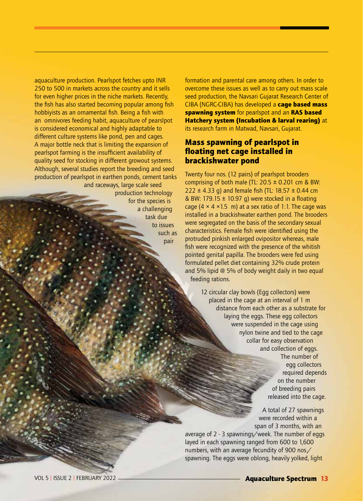aquaculture production. Pearlspot fetches upto INR 250 to 500 in markets across the country and it sells for even higher prices in the niche markets. Recently, the fish has also started becoming popular among fish hobbiyists as an ornamental fish. Being a fish with an omnivores feeding habit, aquaculture of pearslpot is considered economical and highly adaptable to different culture systems like pond, pen and cages. A major bottle neck that is limiting the expansion of pearlspot farming is the insufficient availability of quality seed for stocking in different growout systems. Although, several studies report the breeding and seed production of pearlspot in earthen ponds, cement tanks and raceways, large scale seed production technology

for the species is a challenging task due to issues such as pair

formation and parental care among others. In order to overcome these issues as well as to carry out mass scale seed production, the Navsari Gujarat Research Center of CIBA (NGRC-CIBA) has developed a cage based mass spawning system for pearlspot and an RAS based Hatchery system (Incubation & larval rearing) at its research farm in Matwad, Navsari, Gujarat.

#### Mass spawning of pearlspot in floating net cage installed in brackishwater pond

Twenty four nos. (12 pairs) of pearlspot brooders comprising of both male (TL:  $20.5 \pm 0.201$  cm & BW: 222  $\pm$  4.33 g) and female fish (TL: 18.57  $\pm$  0.44 cm & BW: 179.15  $\pm$  10.97 g) were stocked in a floating cage (4  $\times$  4  $\times$  1.5 m) at a sex ratio of 1:1. The cage was installed in a brackishwater earthen pond. The brooders were segregated on the basis of the secondary sexual characteristics. Female fish were identified using the protruded pinkish enlarged ovipositor whereas, male fish were recognized with the presence of the whitish pointed genital papilla. The brooders were fed using formulated pellet diet containing 32% crude protein and 5% lipid @ 5% of body weight daily in two equal feeding rations.

> 12 circular clay bowls (Egg collectors) were placed in the cage at an interval of 1 m distance from each other as a substrate for laying the eggs. These egg collectors were suspended in the cage using nylon twine and tied to the cage collar for easy observation and collection of eggs. The number of egg collectors required depends on the number of breeding pairs released into the cage.

> > A total of 27 spawnings were recorded within a span of 3 months, with an

average of 2 - 3 spawnings/week. The number of eggs layed in each spawning ranged from 600 to 1,600 numbers, with an average fecundity of 900 nos./ spawning. The eggs were oblong, heavily yolked, light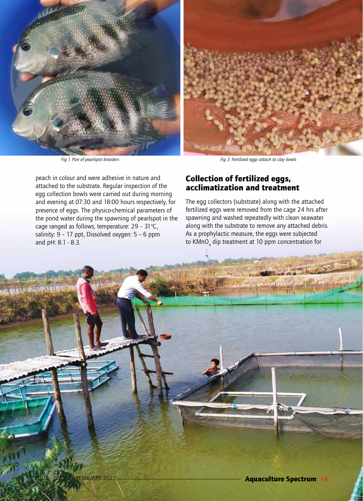

peach in colour and were adhesive in nature and attached to the substrate. Regular inspection of the egg collection bowls were carried out during morning and evening at 07:30 and 18:00 hours respectively, for presence of eggs. The physico-chemical parameters of the pond water during the spawning of pearlspot in the cage ranged as follows, temperature: 29 - 31 $°C$ , salinity: 9 - 17 ppt, Dissolved oxygen: 5 - 6 ppm and pH: 8.1 - 8.3.

#### Collection of fertilized eggs, acclimatization and treatment

The egg collectors (substrate) along with the attached fertilized eggs were removed from the cage 24 hrs after spawning and washed repeatedly with clean seawater along with the substrate to remove any attached debris. As a prophylactic measure, the eggs were subjected to  $\mathsf{KMnO}_4$  dip treatment at 10 ppm concentration for

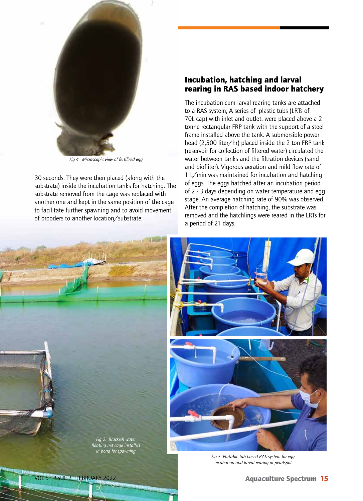

*Fig 4. Microscopic view of fertilized egg*

30 seconds. They were then placed (along with the substrate) inside the incubation tanks for hatching. The substrate removed from the cage was replaced with another one and kept in the same position of the cage to facilitate further spawning and to avoid movement of brooders to another location/substrate.

#### Incubation, hatching and larval rearing in RAS based indoor hatchery

The incubation cum larval rearing tanks are attached to a RAS system, A series of plastic tubs (LRTs of 70L cap) with inlet and outlet, were placed above a 2 tonne rectangular FRP tank with the support of a steel frame installed above the tank. A submersible power head (2,500 liter/hr) placed inside the 2 ton FRP tank (reservoir for collection of filtered water) circulated the water between tanks and the filtration devices (sand and biofliter). Vigorous aeration and mild flow rate of 1 L/min was maintained for incubation and hatching of eggs. The eggs hatched after an incubation period of 2 - 3 days depending on water temperature and egg stage. An average hatching rate of 90% was observed. After the completion of hatching, the substrate was removed and the hatchlings were reared in the LRTs for a period of 21 days.

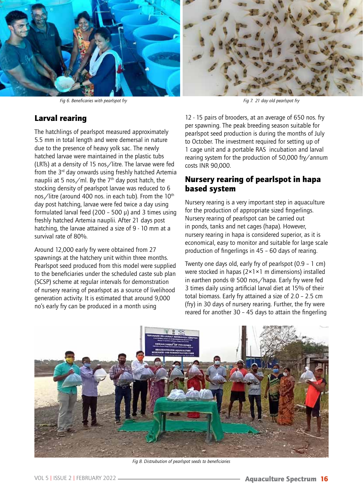

*Fig 6. Beneficaries with pearlspot fry Fig 7. 21 day old pearlspot fry*

#### Larval rearing

The hatchlings of pearlspot measured approximately 5.5 mm in total length and were demersal in nature due to the presence of heavy yolk sac. The newly hatched larvae were maintained in the plastic tubs (LRTs) at a density of 15 nos./litre. The larvae were fed from the  $3<sup>rd</sup>$  day onwards using freshly hatched Artemia nauplii at 5 nos./ml. By the  $7<sup>th</sup>$  day post hatch, the stocking density of pearlspot larvae was reduced to 6 nos./litre (around 400 nos. in each tub). From the 10<sup>th</sup> day post hatching, larvae were fed twice a day using formulated larval feed (200 – 500  $\mu$ ) and 3 times using freshly hatched Artemia nauplii. After 21 days post hatching, the larvae attained a size of 9 - 10 mm at a survival rate of 80%.

Around 12,000 early fry were obtained from 27 spawnings at the hatchery unit within three months. Pearlspot seed produced from this model were supplied to the beneficiaries under the scheduled caste sub plan (SCSP) scheme at regular intervals for demonstration of nursery rearing of pearlspot as a source of livelihood generation activity. It is estimated that around 9,000 no's early fry can be produced in a month using

12 - 15 pairs of brooders, at an average of 650 nos. fry per spawning. The peak breeding season suitable for pearlspot seed production is during the months of July to October. The investment required for setting up of 1 cage unit and a portable RAS incubation and larval rearing system for the production of 50,000 fry/annum costs INR 90,000.

#### Nursery rearing of pearlspot in hapa based system

Nursery rearing is a very important step in aquaculture for the production of appropriate sized fingerlings. Nursery rearing of pearlspot can be carried out in ponds, tanks and net cages (hapa). However, nursery rearing in hapa is considered superior, as it is economical, easy to monitor and suitable for large scale production of fingerlings in 45 – 60 days of rearing.

Twenty one days old, early fry of pearlspot (0.9 – 1 cm) were stocked in hapas (2×1×1 m dimensions) installed in earthen ponds @ 500 nos./hapa. Early fry were fed 3 times daily using artificial larval diet at 15% of their total biomass. Early fry attained a size of 2.0 – 2.5 cm (fry) in 30 days of nursery rearing. Further, the fry were reared for another 30 – 45 days to attain the fingerling



*Fig 8. Distrubution of pearlspot seeds to beneficiaries*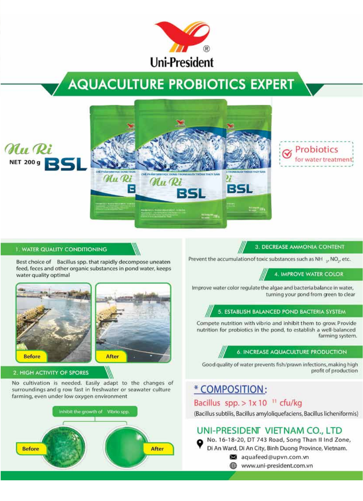

# **AQUACULTURE PROBIOTICS EXPERT**





#### **1. WATER QUALITY CONDITIONING**

Nu Ri

**NET 200 g** 

Best choice of Bacillus spp. that rapidly decompose uneaten feed, feces and other organic substances in pond water, keeps water quality optimal





#### 2. HIGH ACTIVITY OF SPORES

No cultivation is needed. Easily adapt to the changes of surroundings and g row fast in freshwater or seawater culture farming, even under low oxygen environment



3. DECREASE AMMONIA CONTENT

Prevent the accumulation of toxic substances such as NH ... NO, etc.

4. IMPROVE WATER COLOR

Improve water color regulate the algae and bacteria balance in water, turning your pond from green to clear

#### 5. ESTABLISH BALANCED POND BACTERIA SYSTEM

Compete nutrition with vibrio and inhibit them to grow. Provide nutrition for probiotics in the pond, to establish a well-balanced farming system.

#### **6. INCREASE AQUACULTURE PRODUCTION**

Good quality of water prevents fish/prawn infections, making high profit of production

## \* COMPOSITION:

#### Bacillus spp. > 1x 10 <sup>11</sup> cfu/kg

(Bacillus subtilis, Bacillus amyloliquefaciens, Bacillus licheniformis)

#### UNI-PRESIDENT VIETNAM CO., LTD

No. 16-18-20, DT 743 Road, Song Than II Ind Zone, Di An Ward, Di An City, Binh Duong Province, Vietnam. aquafeed@upvn.com.vn

www.uni-president.com.vn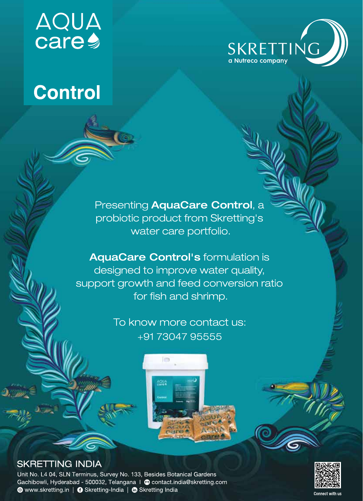# **AQUA**<br>care



# **Control**

Presenting AquaCare Control, a probiotic product from Skretting's water care portfolio.

**AquaCare Control's formulation is** designed to improve water quality, support growth and feed conversion ratio for fish and shrimp.

> To know more contact us: +91 73047 95555





### **SKRETTING INDIA**

Unit No. L4 04, SLN Terminus, Survey No. 133, Besides Botanical Gardens Gachibowli, Hyderabad - 500032, Telangana | @ contact.india@skretting.com ● www.skretting.in | ● Skretting-India | ● Skretting India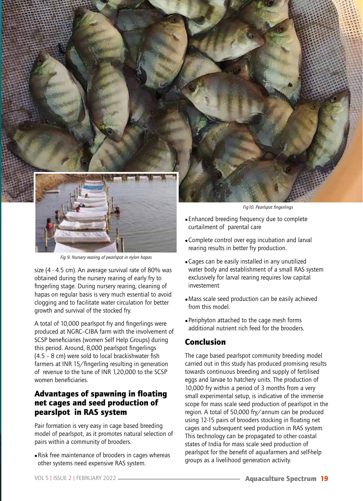

*Fig 9. Nursery rearing of pearlspot in nylon hapas*

size (4 - 4.5 cm). An average survival rate of 80% was obtained during the nursery rearing of early fry to fingerling stage. During nursery rearing, cleaning of hapas on regular basis is very much essential to avoid clogging and to facilitate water circulation for better growth and survival of the stocked fry.

A total of 10,000 pearlspot fry and fingerlings were produced at NGRC–CIBA farm with the involvement of SCSP beneficiaries (women Self Help Groups) during this period. Around, 8,000 pearlspot fingerlings (4.5 – 8 cm) were sold to local brackishwater fish farmers at INR 15/fingerling resulting in generation of revenue to the tune of INR 1,20,000 to the SCSP women beneficiaries.

#### Advantages of spawning in floating net cages and seed production of pearslpot in RAS system

Pair formation is very easy in cage based breeding model of pearlspot, as it promotes natural selection of pairs within a community of brooders.

• Risk free maintenance of brooders in cages whereas other systems need expensive RAS system.

- rearing results in better fry production.
- Cages can be easily installed in any unutilized water body and establishment of a small RAS system exclusively for larval rearing requires low capital investement
- Mass scale seed production can be easily achieved from this model.
- Periphyton attached to the cage mesh forms additional nutrient rich feed for the brooders.

#### Conclusion

The cage based pearlspot community breeding model carried out in this study has produced promising results towards continuous breeding and supply of fertilised eggs and larvae to hatchery units. The production of 10,000 fry within a period of 3 months from a very small experimental setup, is indicative of the immense scope for mass scale seed production of pearlspot in the region. A total of 50,000 fry/annum can be produced using 12-15 pairs of brooders stocking in floating net cages and subsequent seed production in RAS system. This technology can be propagated to other coastal states of India for mass scale seed production of pearlspot for the benefit of aquafarmers and self-help groups as a livelihood generation activity.